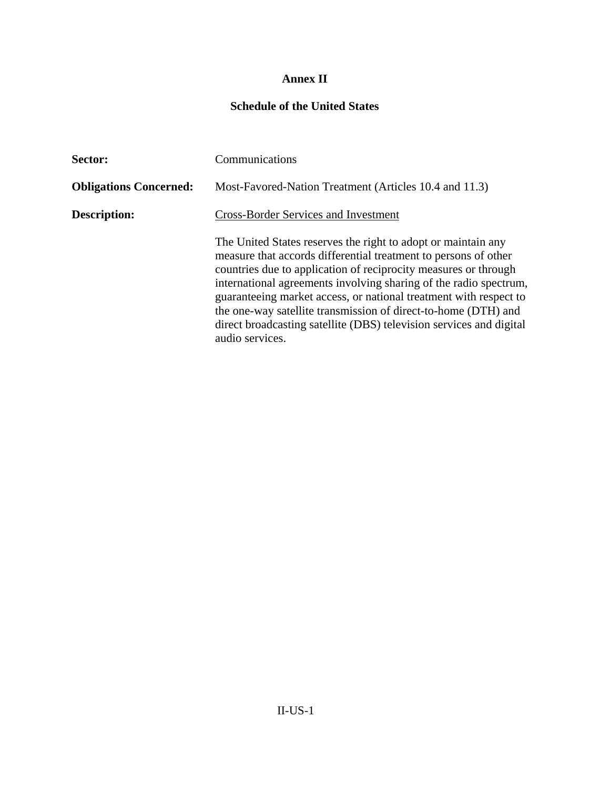## **Annex II**

## **Schedule of the United States**

| Sector:                       | Communications                                                                                                                                                                                                                                                                                                                                                                                                                                                                                            |  |  |
|-------------------------------|-----------------------------------------------------------------------------------------------------------------------------------------------------------------------------------------------------------------------------------------------------------------------------------------------------------------------------------------------------------------------------------------------------------------------------------------------------------------------------------------------------------|--|--|
| <b>Obligations Concerned:</b> | Most-Favored-Nation Treatment (Articles 10.4 and 11.3)                                                                                                                                                                                                                                                                                                                                                                                                                                                    |  |  |
| <b>Description:</b>           | <b>Cross-Border Services and Investment</b>                                                                                                                                                                                                                                                                                                                                                                                                                                                               |  |  |
|                               | The United States reserves the right to adopt or maintain any<br>measure that accords differential treatment to persons of other<br>countries due to application of reciprocity measures or through<br>international agreements involving sharing of the radio spectrum,<br>guaranteeing market access, or national treatment with respect to<br>the one-way satellite transmission of direct-to-home (DTH) and<br>direct broadcasting satellite (DBS) television services and digital<br>audio services. |  |  |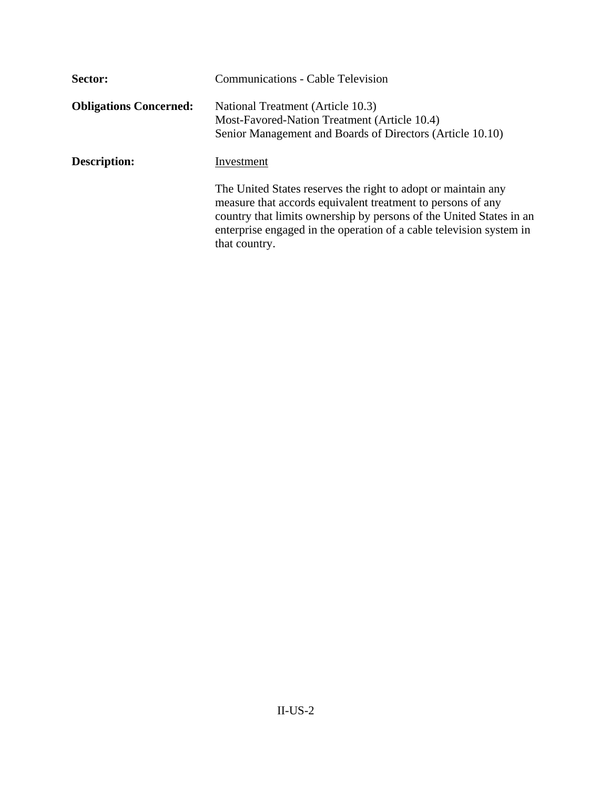| Sector:                       | <b>Communications - Cable Television</b>                                                                                                                                                                                                                                                    |  |  |
|-------------------------------|---------------------------------------------------------------------------------------------------------------------------------------------------------------------------------------------------------------------------------------------------------------------------------------------|--|--|
| <b>Obligations Concerned:</b> | National Treatment (Article 10.3)<br>Most-Favored-Nation Treatment (Article 10.4)<br>Senior Management and Boards of Directors (Article 10.10)                                                                                                                                              |  |  |
| <b>Description:</b>           | Investment                                                                                                                                                                                                                                                                                  |  |  |
|                               | The United States reserves the right to adopt or maintain any<br>measure that accords equivalent treatment to persons of any<br>country that limits ownership by persons of the United States in an<br>enterprise engaged in the operation of a cable television system in<br>that country. |  |  |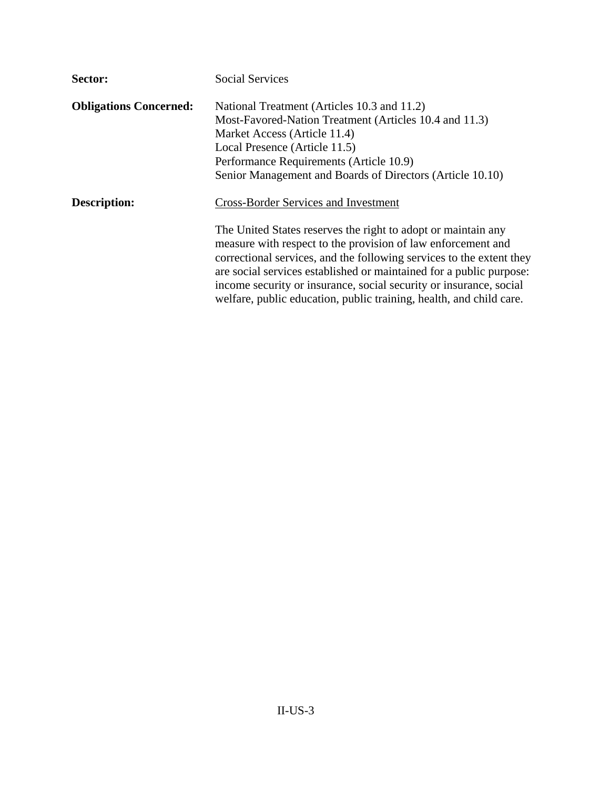| Sector:                       | <b>Social Services</b>                                                                                                                                                                                                                                                                                                                                                                                                    |
|-------------------------------|---------------------------------------------------------------------------------------------------------------------------------------------------------------------------------------------------------------------------------------------------------------------------------------------------------------------------------------------------------------------------------------------------------------------------|
| <b>Obligations Concerned:</b> | National Treatment (Articles 10.3 and 11.2)                                                                                                                                                                                                                                                                                                                                                                               |
|                               | Most-Favored-Nation Treatment (Articles 10.4 and 11.3)                                                                                                                                                                                                                                                                                                                                                                    |
|                               | Market Access (Article 11.4)                                                                                                                                                                                                                                                                                                                                                                                              |
|                               | Local Presence (Article 11.5)                                                                                                                                                                                                                                                                                                                                                                                             |
|                               | Performance Requirements (Article 10.9)                                                                                                                                                                                                                                                                                                                                                                                   |
|                               | Senior Management and Boards of Directors (Article 10.10)                                                                                                                                                                                                                                                                                                                                                                 |
| <b>Description:</b>           | <b>Cross-Border Services and Investment</b>                                                                                                                                                                                                                                                                                                                                                                               |
|                               | The United States reserves the right to adopt or maintain any<br>measure with respect to the provision of law enforcement and<br>correctional services, and the following services to the extent they<br>are social services established or maintained for a public purpose:<br>income security or insurance, social security or insurance, social<br>welfare, public education, public training, health, and child care. |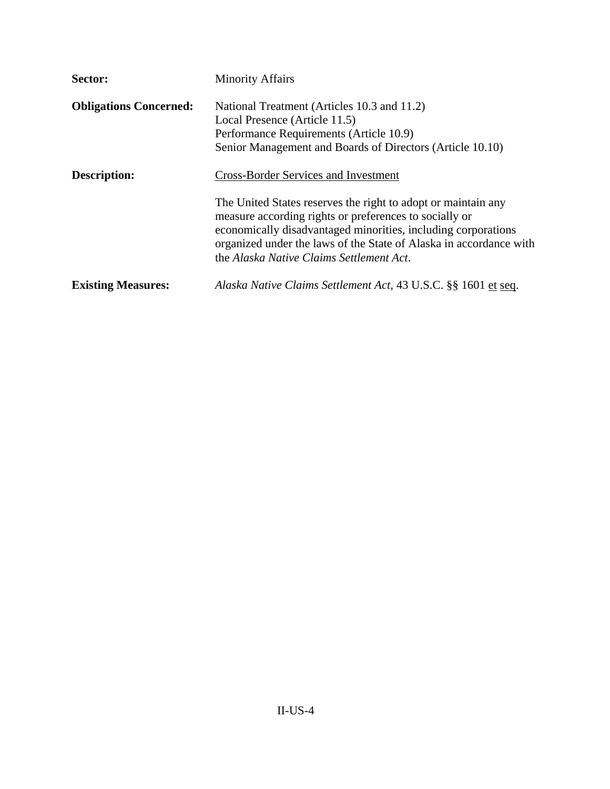| Sector:                       | <b>Minority Affairs</b>                                                                                                                                                                                                                   |
|-------------------------------|-------------------------------------------------------------------------------------------------------------------------------------------------------------------------------------------------------------------------------------------|
| <b>Obligations Concerned:</b> | National Treatment (Articles 10.3 and 11.2)<br>Local Presence (Article 11.5)<br>Performance Requirements (Article 10.9)<br>Senior Management and Boards of Directors (Article 10.10)                                                      |
| Description:                  | <b>Cross-Border Services and Investment</b><br>The United States reserves the right to adopt or maintain any                                                                                                                              |
|                               | measure according rights or preferences to socially or<br>economically disadvantaged minorities, including corporations<br>organized under the laws of the State of Alaska in accordance with<br>the Alaska Native Claims Settlement Act. |
| <b>Existing Measures:</b>     | Alaska Native Claims Settlement Act, 43 U.S.C. §§ 1601 et seq.                                                                                                                                                                            |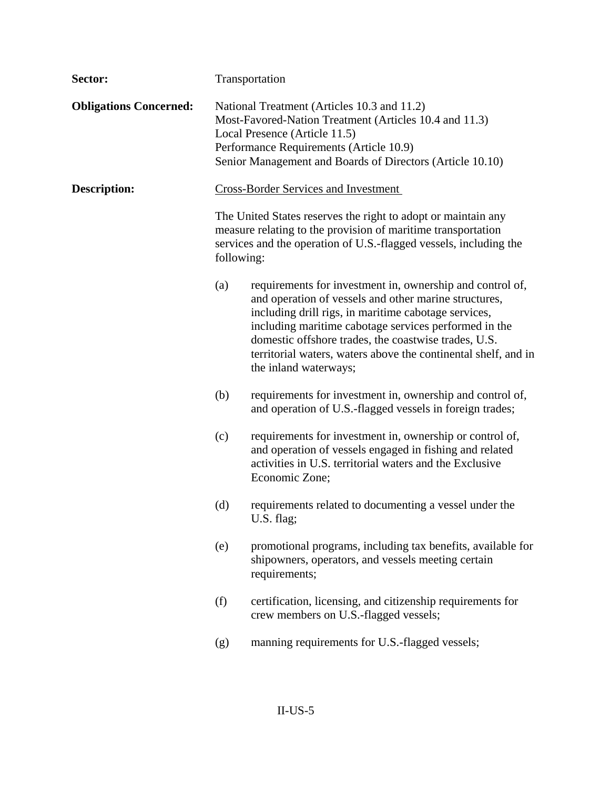| Sector:                       | Transportation                                                                                                                                                                                                                                 |                                                                                                                                                                                                                                                                                                                                                                                        |  |  |
|-------------------------------|------------------------------------------------------------------------------------------------------------------------------------------------------------------------------------------------------------------------------------------------|----------------------------------------------------------------------------------------------------------------------------------------------------------------------------------------------------------------------------------------------------------------------------------------------------------------------------------------------------------------------------------------|--|--|
| <b>Obligations Concerned:</b> | National Treatment (Articles 10.3 and 11.2)<br>Most-Favored-Nation Treatment (Articles 10.4 and 11.3)<br>Local Presence (Article 11.5)<br>Performance Requirements (Article 10.9)<br>Senior Management and Boards of Directors (Article 10.10) |                                                                                                                                                                                                                                                                                                                                                                                        |  |  |
| <b>Description:</b>           | <b>Cross-Border Services and Investment</b>                                                                                                                                                                                                    |                                                                                                                                                                                                                                                                                                                                                                                        |  |  |
|                               |                                                                                                                                                                                                                                                | The United States reserves the right to adopt or maintain any<br>measure relating to the provision of maritime transportation<br>services and the operation of U.S.-flagged vessels, including the<br>following:                                                                                                                                                                       |  |  |
|                               | (a)                                                                                                                                                                                                                                            | requirements for investment in, ownership and control of,<br>and operation of vessels and other marine structures,<br>including drill rigs, in maritime cabotage services,<br>including maritime cabotage services performed in the<br>domestic offshore trades, the coastwise trades, U.S.<br>territorial waters, waters above the continental shelf, and in<br>the inland waterways; |  |  |
|                               | (b)                                                                                                                                                                                                                                            | requirements for investment in, ownership and control of,<br>and operation of U.S.-flagged vessels in foreign trades;                                                                                                                                                                                                                                                                  |  |  |
|                               | (c)                                                                                                                                                                                                                                            | requirements for investment in, ownership or control of,<br>and operation of vessels engaged in fishing and related<br>activities in U.S. territorial waters and the Exclusive<br>Economic Zone;                                                                                                                                                                                       |  |  |
|                               | (d)                                                                                                                                                                                                                                            | requirements related to documenting a vessel under the<br>U.S. flag;                                                                                                                                                                                                                                                                                                                   |  |  |
|                               | (e)                                                                                                                                                                                                                                            | promotional programs, including tax benefits, available for<br>shipowners, operators, and vessels meeting certain<br>requirements;                                                                                                                                                                                                                                                     |  |  |
|                               | (f)                                                                                                                                                                                                                                            | certification, licensing, and citizenship requirements for<br>crew members on U.S.-flagged vessels;                                                                                                                                                                                                                                                                                    |  |  |
|                               | (g)                                                                                                                                                                                                                                            | manning requirements for U.S.-flagged vessels;                                                                                                                                                                                                                                                                                                                                         |  |  |
|                               |                                                                                                                                                                                                                                                |                                                                                                                                                                                                                                                                                                                                                                                        |  |  |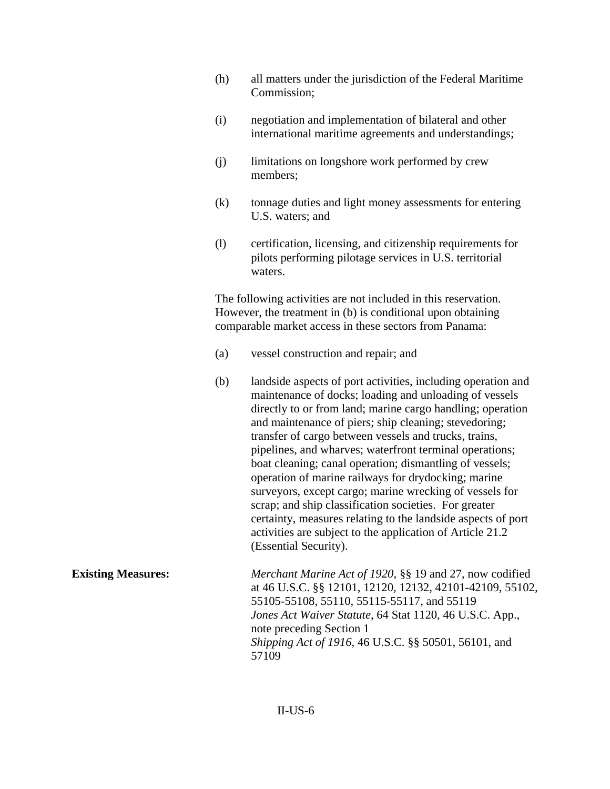- (h) all matters under the jurisdiction of the Federal Maritime Commission;
- (i) negotiation and implementation of bilateral and other international maritime agreements and understandings;
- (j) limitations on longshore work performed by crew members;
- (k) tonnage duties and light money assessments for entering U.S. waters; and
- (l) certification, licensing, and citizenship requirements for pilots performing pilotage services in U.S. territorial waters.

 The following activities are not included in this reservation. However, the treatment in (b) is conditional upon obtaining comparable market access in these sectors from Panama:

- (a) vessel construction and repair; and
- (b) landside aspects of port activities, including operation and maintenance of docks; loading and unloading of vessels directly to or from land; marine cargo handling; operation and maintenance of piers; ship cleaning; stevedoring; transfer of cargo between vessels and trucks, trains, pipelines, and wharves; waterfront terminal operations; boat cleaning; canal operation; dismantling of vessels; operation of marine railways for drydocking; marine surveyors, except cargo; marine wrecking of vessels for scrap; and ship classification societies. For greater certainty, measures relating to the landside aspects of port activities are subject to the application of Article 21.2 (Essential Security).

**Existing Measures:** *Merchant Marine Act of 1920*, §§ 19 and 27, now codified at 46 U.S.C. §§ 12101, 12120, 12132, 42101-42109, 55102, 55105-55108, 55110, 55115-55117, and 55119  *Jones Act Waiver Statute*, 64 Stat 1120, 46 U.S.C. App., note preceding Section 1  *Shipping Act of 1916*, 46 U.S.C. §§ 50501, 56101, and 57109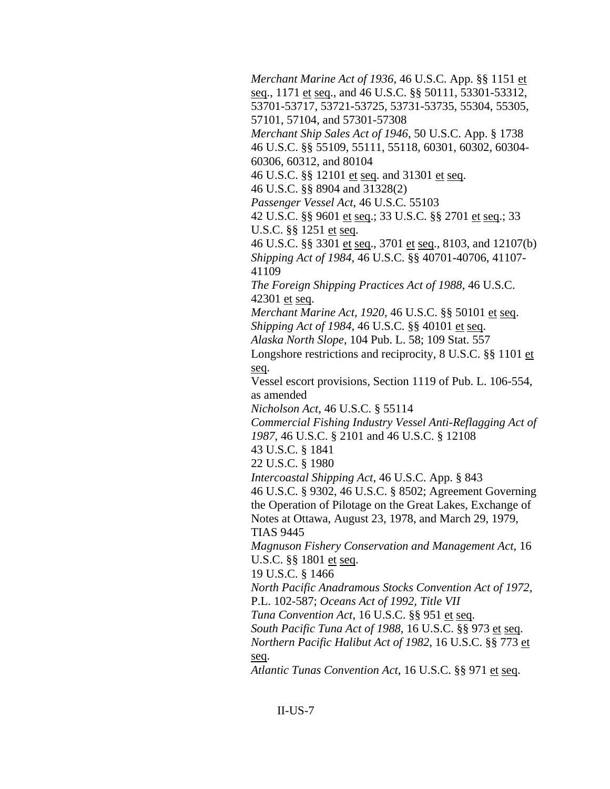*Merchant Marine Act of 1936*, 46 U.S.C. App. §§ 1151 et seq., 1171 et seq., and 46 U.S.C. §§ 50111, 53301-53312, 53701-53717, 53721-53725, 53731-53735, 55304, 55305, 57101, 57104, and 57301-57308

 *Merchant Ship Sales Act of 1946*, 50 U.S.C. App. § 1738 46 U.S.C. §§ 55109, 55111, 55118, 60301, 60302, 60304- 60306, 60312, and 80104

46 U.S.C. §§ 12101 et seq. and 31301 et seq.

46 U.S.C. §§ 8904 and 31328(2)

 *Passenger Vessel Act*, 46 U.S.C. 55103

 42 U.S.C. §§ 9601 et seq.; 33 U.S.C. §§ 2701 et seq.; 33 U.S.C. §§ 1251 et seq.

 46 U.S.C. §§ 3301 et seq., 3701 et seq., 8103, and 12107(b)  *Shipping Act of 1984*, 46 U.S.C. §§ 40701-40706, 41107- 41109

 *The Foreign Shipping Practices Act of 1988*, 46 U.S.C. 42301 et seq.

 *Merchant Marine Act, 1920*, 46 U.S.C. §§ 50101 et seq. *Shipping Act of 1984, 46 U.S.C.* §§ 40101 et seq.

 *Alaska North Slope*, 104 Pub. L. 58; 109 Stat. 557

Longshore restrictions and reciprocity, 8 U.S.C. §§ 1101 et seq.

 Vessel escort provisions, Section 1119 of Pub. L. 106-554, as amended

 *Nicholson Act*, 46 U.S.C. § 55114

 *Commercial Fishing Industry Vessel Anti-Reflagging Act of 1987*, 46 U.S.C. § 2101 and 46 U.S.C. § 12108

43 U.S.C. § 1841

22 U.S.C. § 1980

 *Intercoastal Shipping Act*, 46 U.S.C. App. § 843 46 U.S.C. § 9302, 46 U.S.C. § 8502; Agreement Governing the Operation of Pilotage on the Great Lakes, Exchange of Notes at Ottawa, August 23, 1978, and March 29, 1979, TIAS 9445

 *Magnuson Fishery Conservation and Management Act*, 16 U.S.C. §§ 1801 et seq.

19 U.S.C. § 1466

 *North Pacific Anadramous Stocks Convention Act of 1972*, P.L. 102-587; *Oceans Act of 1992, Title VII*

*Tuna Convention Act*, 16 U.S.C. §§ 951 et seq.

 *South Pacific Tuna Act of 1988*, 16 U.S.C. §§ 973 et seq.

 *Northern Pacific Halibut Act of 1982*, 16 U.S.C. §§ 773 et seq.

 *Atlantic Tunas Convention Act*, 16 U.S.C. §§ 971 et seq.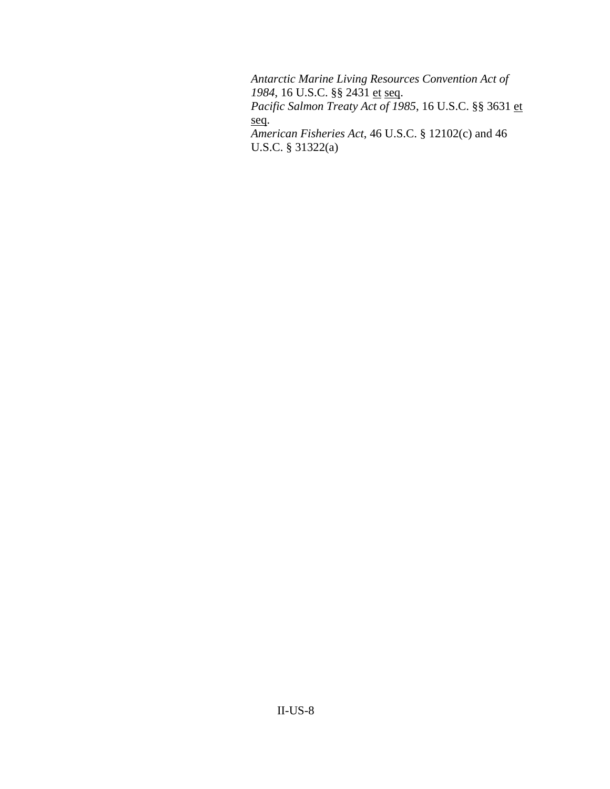*Antarctic Marine Living Resources Convention Act of 1984*, 16 U.S.C. §§ 2431 et seq. *Pacific Salmon Treaty Act of 1985*, 16 U.S.C. §§ 3631 et seq.  *American Fisheries Act*, 46 U.S.C. § 12102(c) and 46 U.S.C. § 31322(a)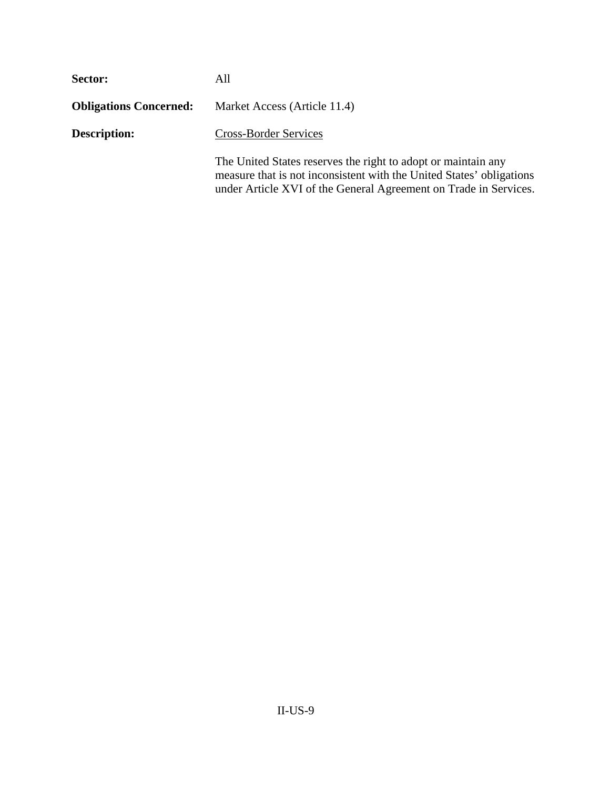| Sector:                       | All                                                                                                                                                                                                       |  |  |
|-------------------------------|-----------------------------------------------------------------------------------------------------------------------------------------------------------------------------------------------------------|--|--|
| <b>Obligations Concerned:</b> | Market Access (Article 11.4)                                                                                                                                                                              |  |  |
| Description:                  | <b>Cross-Border Services</b>                                                                                                                                                                              |  |  |
|                               | The United States reserves the right to adopt or maintain any<br>measure that is not inconsistent with the United States' obligations<br>under Article XVI of the General Agreement on Trade in Services. |  |  |